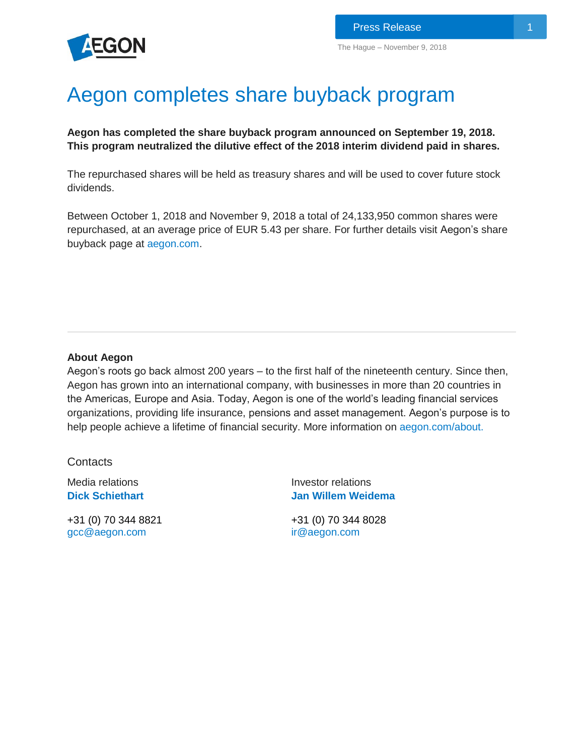

## Aegon completes share buyback program

**Aegon has completed the share buyback program announced on September 19, 2018. This program neutralized the dilutive effect of the 2018 interim dividend paid in shares.**

The repurchased shares will be held as treasury shares and will be used to cover future stock dividends.

Between October 1, 2018 and November 9, 2018 a total of 24,133,950 common shares were repurchased, at an average price of EUR 5.43 per share. For further details visit Aegon's share buyback page at [aegon.com.](https://www.aegon.com/investors/shareholders/share-buyback-program/)

## **About Aegon**

Aegon's roots go back almost 200 years – to the first half of the nineteenth century. Since then, Aegon has grown into an international company, with businesses in more than 20 countries in the Americas, Europe and Asia. Today, Aegon is one of the world's leading financial services organizations, providing life insurance, pensions and asset management. Aegon's purpose is to help people achieve a lifetime of financial security. More information on [aegon.com/about.](http://www.aegon.com/about)

**Contacts** 

Media relations **[Dick S](http://www.aegon.com/Home/Investors/Contact/Media-Team/#50477)chiethart**

+31 (0) 70 344 8821 [gcc@aegon.com](mailto:gcc@aegon.com)

Investor relations **[Jan Willem Weidema](http://www.aegon.com/en/Home/Investors/Contact/Investor-Relations-Team/#34471)** 

+31 (0) 70 344 8028 [ir@aegon.com](mailto:ir@aegon.com)